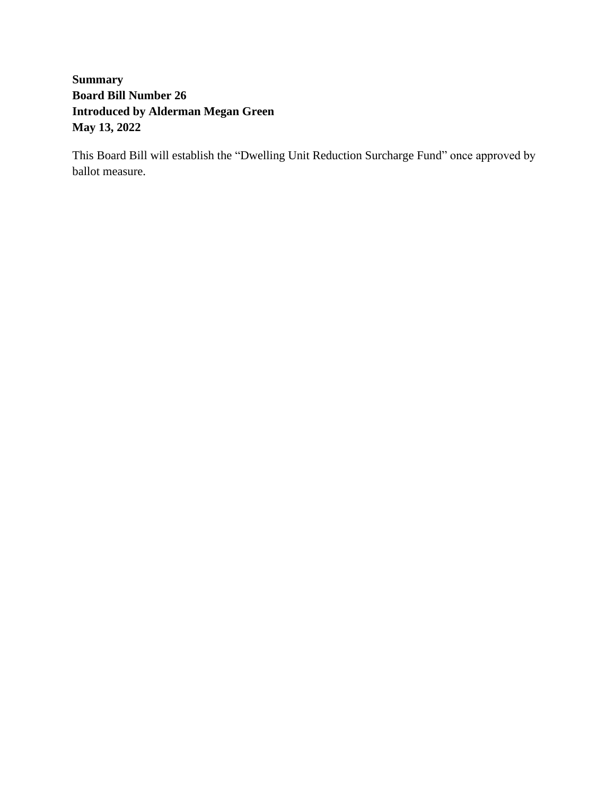## **Summary Board Bill Number 26 Introduced by Alderman Megan Green May 13, 2022**

This Board Bill will establish the "Dwelling Unit Reduction Surcharge Fund" once approved by ballot measure.